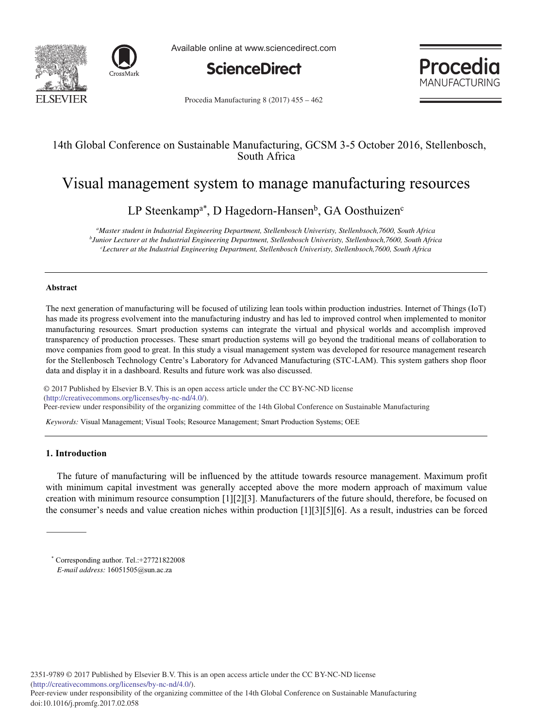



Available online at www.sciencedirect.com



Procedia **MANUFACTURING** 

Procedia Manufacturing 8 (2017) 455 - 462

## 14th Global Conference on Sustainable Manufacturing, GCSM 3-5 October 2016, Stellenbosch, South Africa

# Visual management system to manage manufacturing resources

LP Steenkamp<sup>a\*</sup>, D Hagedorn-Hansen<sup>b</sup>, GA Oosthuizen<sup>c</sup>

*a Master student in Industrial Engineering Department, Stellenbosch Univeristy, Stellenbsoch,7600, South Africa b Junior Lecturer at the Industrial Engineering Department, Stellenbosch Univeristy, Stellenbsoch,7600, South Africa c Lecturer at the Industrial Engineering Department, Stellenbosch Univeristy, Stellenbsoch,7600, South Africa* 

## **Abstract**

The next generation of manufacturing will be focused of utilizing lean tools within production industries. Internet of Things (IoT) has made its progress evolvement into the manufacturing industry and has led to improved control when implemented to monitor manufacturing resources. Smart production systems can integrate the virtual and physical worlds and accomplish improved transparency of production processes. These smart production systems will go beyond the traditional means of collaboration to move companies from good to great. In this study a visual management system was developed for resource management research for the Stellenbosch Technology Centre's Laboratory for Advanced Manufacturing (STC-LAM). This system gathers shop floor data and display it in a dashboard. Results and future work was also discussed.

© 2016 The Authors. Published by Elsevier B.V. © 2017 Published by Elsevier B.V. This is an open access article under the CC BY-NC-ND license (intp.//creativecommons.org/ncenses/by-nc-nu/4.0/).<br>Peer-review under responsibility of the organizing committee of the 14th Global Conference on Sustainable Manufacturing (http://creativecommons.org/licenses/by-nc-nd/4.0/).

*Keywords:* Visual Management; Visual Tools; Resource Management; Smart Production Systems; OEE

## **1. Introduction**

The future of manufacturing will be influenced by the attitude towards resource management. Maximum profit with minimum capital investment was generally accepted above the more modern approach of maximum value creation with minimum resource consumption [1][2][3]. Manufacturers of the future should, therefore, be focused on the consumer's needs and value creation niches within production [1][3][5][6]. As a result, industries can be forced

<sup>\*</sup> Corresponding author. Tel.:+27721822008 *E-mail address:* 16051505@sun.ac.za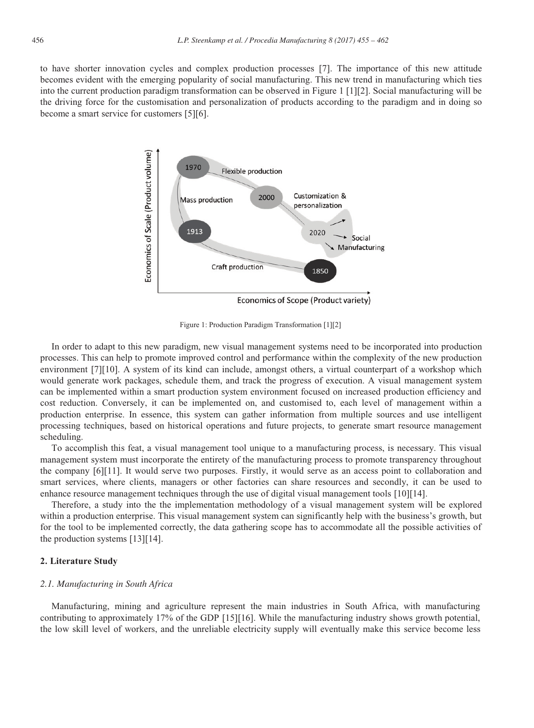to have shorter innovation cycles and complex production processes [7]. The importance of this new attitude becomes evident with the emerging popularity of social manufacturing. This new trend in manufacturing which ties into the current production paradigm transformation can be observed in Figure 1 [1][2]. Social manufacturing will be the driving force for the customisation and personalization of products according to the paradigm and in doing so become a smart service for customers [5][6].



Figure 1: Production Paradigm Transformation [1][2]

In order to adapt to this new paradigm, new visual management systems need to be incorporated into production processes. This can help to promote improved control and performance within the complexity of the new production environment [7][10]. A system of its kind can include, amongst others, a virtual counterpart of a workshop which would generate work packages, schedule them, and track the progress of execution. A visual management system can be implemented within a smart production system environment focused on increased production efficiency and cost reduction. Conversely, it can be implemented on, and customised to, each level of management within a production enterprise. In essence, this system can gather information from multiple sources and use intelligent processing techniques, based on historical operations and future projects, to generate smart resource management scheduling.

To accomplish this feat, a visual management tool unique to a manufacturing process, is necessary. This visual management system must incorporate the entirety of the manufacturing process to promote transparency throughout the company [6][11]. It would serve two purposes. Firstly, it would serve as an access point to collaboration and smart services, where clients, managers or other factories can share resources and secondly, it can be used to enhance resource management techniques through the use of digital visual management tools [10][14].

Therefore, a study into the the implementation methodology of a visual management system will be explored within a production enterprise. This visual management system can significantly help with the business's growth, but for the tool to be implemented correctly, the data gathering scope has to accommodate all the possible activities of the production systems [13][14].

## **2. Literature Study**

### *2.1. Manufacturing in South Africa*

Manufacturing, mining and agriculture represent the main industries in South Africa, with manufacturing contributing to approximately 17% of the GDP [15][16]. While the manufacturing industry shows growth potential, the low skill level of workers, and the unreliable electricity supply will eventually make this service become less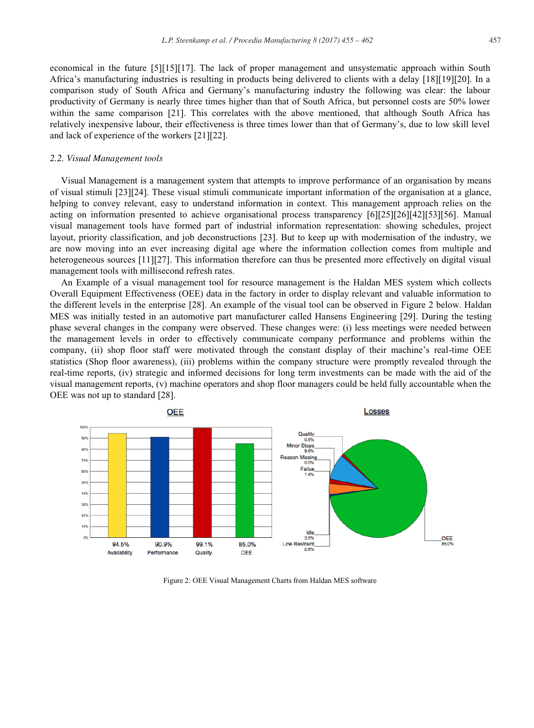economical in the future [5][15][17]. The lack of proper management and unsystematic approach within South Africa's manufacturing industries is resulting in products being delivered to clients with a delay [18][19][20]. In a comparison study of South Africa and Germany's manufacturing industry the following was clear: the labour productivity of Germany is nearly three times higher than that of South Africa, but personnel costs are 50% lower within the same comparison [21]. This correlates with the above mentioned, that although South Africa has relatively inexpensive labour, their effectiveness is three times lower than that of Germany's, due to low skill level and lack of experience of the workers [21][22].

### *2.2. Visual Management tools*

Visual Management is a management system that attempts to improve performance of an organisation by means of visual stimuli [23][24]. These visual stimuli communicate important information of the organisation at a glance, helping to convey relevant, easy to understand information in context. This management approach relies on the acting on information presented to achieve organisational process transparency [6][25][26][42][53][56]. Manual visual management tools have formed part of industrial information representation: showing schedules, project layout, priority classification, and job deconstructions [23]. But to keep up with modernisation of the industry, we are now moving into an ever increasing digital age where the information collection comes from multiple and heterogeneous sources [11][27]. This information therefore can thus be presented more effectively on digital visual management tools with millisecond refresh rates.

An Example of a visual management tool for resource management is the Haldan MES system which collects Overall Equipment Effectiveness (OEE) data in the factory in order to display relevant and valuable information to the different levels in the enterprise [28]. An example of the visual tool can be observed in Figure 2 below. Haldan MES was initially tested in an automotive part manufacturer called Hansens Engineering [29]. During the testing phase several changes in the company were observed. These changes were: (i) less meetings were needed between the management levels in order to effectively communicate company performance and problems within the company, (ii) shop floor staff were motivated through the constant display of their machine's real-time OEE statistics (Shop floor awareness), (iii) problems within the company structure were promptly revealed through the real-time reports, (iv) strategic and informed decisions for long term investments can be made with the aid of the visual management reports, (v) machine operators and shop floor managers could be held fully accountable when the OEE was not up to standard [28].



Figure 2: OEE Visual Management Charts from Haldan MES software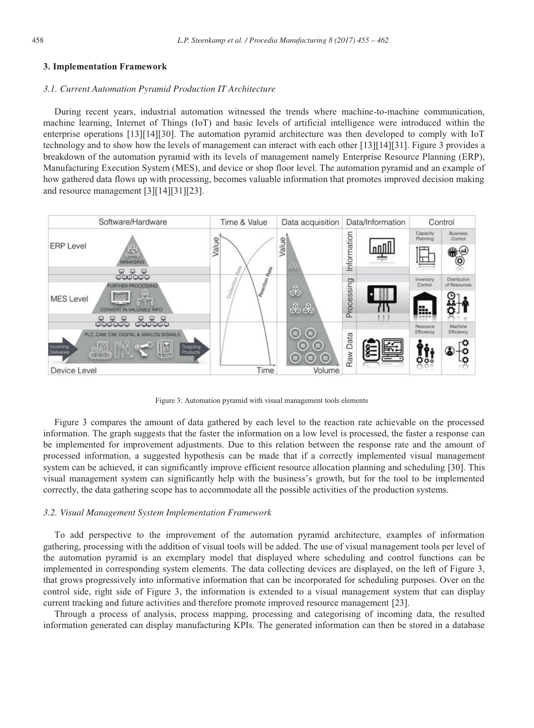## **3. Implementation Framework**

## *3.1. Current Automation Pyramid Production IT Architecture*

During recent years, industrial automation witnessed the trends where machine-to-machine communication, machine learning, Internet of Things (IoT) and basic levels of artificial intelligence were introduced within the enterprise operations [13][14][30]. The automation pyramid architecture was then developed to comply with IoT technology and to show how the levels of management can interact with each other [13][14][31]. Figure 3 provides a breakdown of the automation pyramid with its levels of management namely Enterprise Resource Planning (ERP), Manufacturing Execution System (MES), and device or shop floor level. The automation pyramid and an example of how gathered data flows up with processing, becomes valuable information that promotes improved decision making and resource management [3][14][31][23].



Figure 3: Automation pyramid with visual management tools elements

Figure 3 compares the amount of data gathered by each level to the reaction rate achievable on the processed information. The graph suggests that the faster the information on a low level is processed, the faster a response can be implemented for improvement adjustments. Due to this relation between the response rate and the amount of processed information, a suggested hypothesis can be made that if a correctly implemented visual management system can be achieved, it can significantly improve efficient resource allocation planning and scheduling [30]. This visual management system can significantly help with the business's growth, but for the tool to be implemented correctly, the data gathering scope has to accommodate all the possible activities of the production systems.

## *3.2. Visual Management System Implementation Framework*

To add perspective to the improvement of the automation pyramid architecture, examples of information gathering, processing with the addition of visual tools will be added. The use of visual management tools per level of the automation pyramid is an exemplary model that displayed where scheduling and control functions can be implemented in corresponding system elements. The data collecting devices are displayed, on the left of Figure 3, that grows progressively into informative information that can be incorporated for scheduling purposes. Over on the control side, right side of Figure 3, the information is extended to a visual management system that can display current tracking and future activities and therefore promote improved resource management [23].

Through a process of analysis, process mapping, processing and categorising of incoming data, the resulted information generated can display manufacturing KPIs. The generated information can then be stored in a database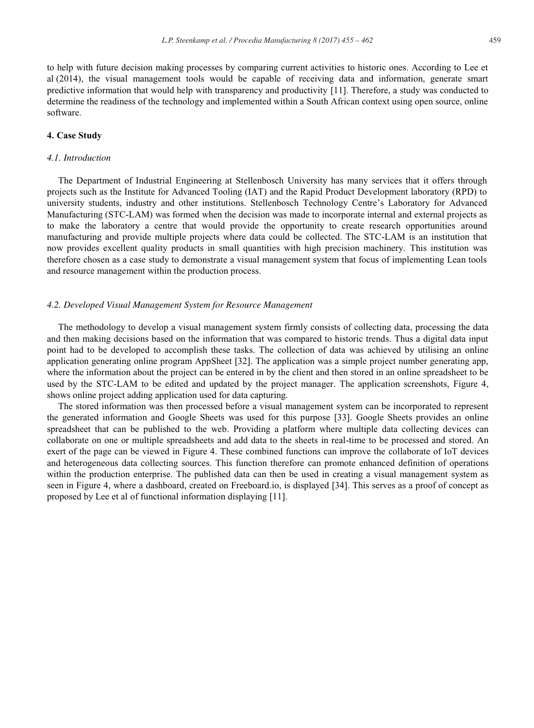to help with future decision making processes by comparing current activities to historic ones. According to Lee et al (2014), the visual management tools would be capable of receiving data and information, generate smart predictive information that would help with transparency and productivity [11]. Therefore, a study was conducted to determine the readiness of the technology and implemented within a South African context using open source, online software.

## **4. Case Study**

## *4.1. Introduction*

The Department of Industrial Engineering at Stellenbosch University has many services that it offers through projects such as the Institute for Advanced Tooling (IAT) and the Rapid Product Development laboratory (RPD) to university students, industry and other institutions. Stellenbosch Technology Centre's Laboratory for Advanced Manufacturing (STC-LAM) was formed when the decision was made to incorporate internal and external projects as to make the laboratory a centre that would provide the opportunity to create research opportunities around manufacturing and provide multiple projects where data could be collected. The STC-LAM is an institution that now provides excellent quality products in small quantities with high precision machinery. This institution was therefore chosen as a case study to demonstrate a visual management system that focus of implementing Lean tools and resource management within the production process.

## *4.2. Developed Visual Management System for Resource Management*

The methodology to develop a visual management system firmly consists of collecting data, processing the data and then making decisions based on the information that was compared to historic trends. Thus a digital data input point had to be developed to accomplish these tasks. The collection of data was achieved by utilising an online application generating online program AppSheet [32]. The application was a simple project number generating app, where the information about the project can be entered in by the client and then stored in an online spreadsheet to be used by the STC-LAM to be edited and updated by the project manager. The application screenshots, Figure 4, shows online project adding application used for data capturing.

The stored information was then processed before a visual management system can be incorporated to represent the generated information and Google Sheets was used for this purpose [33]. Google Sheets provides an online spreadsheet that can be published to the web. Providing a platform where multiple data collecting devices can collaborate on one or multiple spreadsheets and add data to the sheets in real-time to be processed and stored. An exert of the page can be viewed in Figure 4. These combined functions can improve the collaborate of IoT devices and heterogeneous data collecting sources. This function therefore can promote enhanced definition of operations within the production enterprise. The published data can then be used in creating a visual management system as seen in Figure 4, where a dashboard, created on Freeboard.io, is displayed [34]. This serves as a proof of concept as proposed by Lee et al of functional information displaying [11].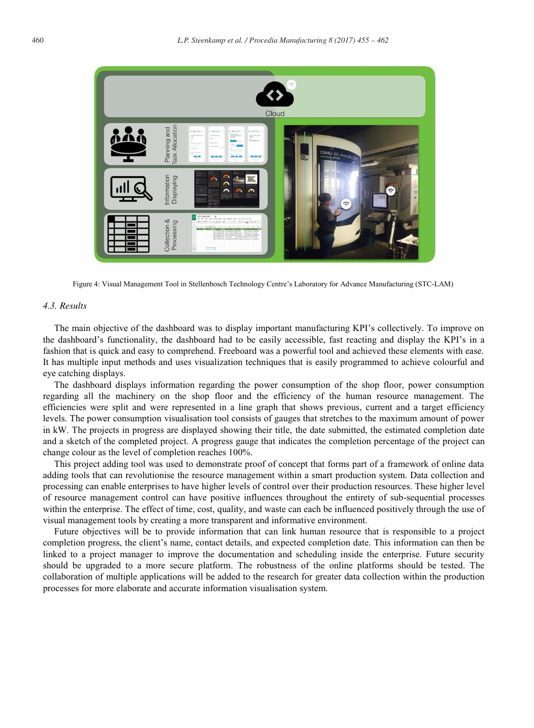

Figure 4: Visual Management Tool in Stellenbosch Technology Centre's Laboratory for Advance Manufacturing (STC-LAM)

## *4.3. Results*

The main objective of the dashboard was to display important manufacturing KPI's collectively. To improve on the dashboard's functionality, the dashboard had to be easily accessible, fast reacting and display the KPI's in a fashion that is quick and easy to comprehend. Freeboard was a powerful tool and achieved these elements with ease. It has multiple input methods and uses visualization techniques that is easily programmed to achieve colourful and eye catching displays.

The dashboard displays information regarding the power consumption of the shop floor, power consumption regarding all the machinery on the shop floor and the efficiency of the human resource management. The efficiencies were split and were represented in a line graph that shows previous, current and a target efficiency levels. The power consumption visualisation tool consists of gauges that stretches to the maximum amount of power in kW. The projects in progress are displayed showing their title, the date submitted, the estimated completion date and a sketch of the completed project. A progress gauge that indicates the completion percentage of the project can change colour as the level of completion reaches 100%.

This project adding tool was used to demonstrate proof of concept that forms part of a framework of online data adding tools that can revolutionise the resource management within a smart production system. Data collection and processing can enable enterprises to have higher levels of control over their production resources. These higher level of resource management control can have positive influences throughout the entirety of sub-sequential processes within the enterprise. The effect of time, cost, quality, and waste can each be influenced positively through the use of visual management tools by creating a more transparent and informative environment.

Future objectives will be to provide information that can link human resource that is responsible to a project completion progress, the client's name, contact details, and expected completion date. This information can then be linked to a project manager to improve the documentation and scheduling inside the enterprise. Future security should be upgraded to a more secure platform. The robustness of the online platforms should be tested. The collaboration of multiple applications will be added to the research for greater data collection within the production processes for more elaborate and accurate information visualisation system.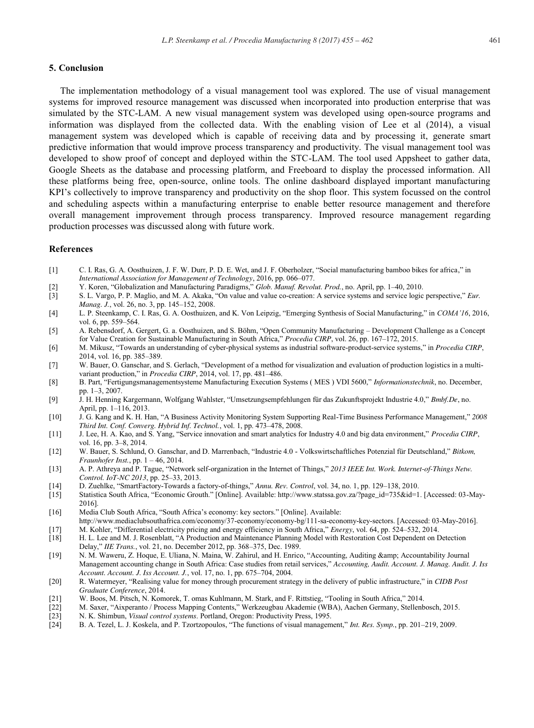## **5. Conclusion**

The implementation methodology of a visual management tool was explored. The use of visual management systems for improved resource management was discussed when incorporated into production enterprise that was simulated by the STC-LAM. A new visual management system was developed using open-source programs and information was displayed from the collected data. With the enabling vision of Lee et al (2014), a visual management system was developed which is capable of receiving data and by processing it, generate smart predictive information that would improve process transparency and productivity. The visual management tool was developed to show proof of concept and deployed within the STC-LAM. The tool used Appsheet to gather data, Google Sheets as the database and processing platform, and Freeboard to display the processed information. All these platforms being free, open-source, online tools. The online dashboard displayed important manufacturing KPI's collectively to improve transparency and productivity on the shop floor. This system focussed on the control and scheduling aspects within a manufacturing enterprise to enable better resource management and therefore overall management improvement through process transparency. Improved resource management regarding production processes was discussed along with future work.

## **References**

- [1] C. I. Ras, G. A. Oosthuizen, J. F. W. Durr, P. D. E. Wet, and J. F. Oberholzer, "Social manufacturing bamboo bikes for africa," in *International Association for Management of Technology*, 2016, pp. 066–077.
- [2] Y. Koren, "Globalization and Manufacturing Paradigms," *Glob. Manuf. Revolut. Prod.*, no. April, pp. 1–40, 2010.
- [3] S. L. Vargo, P. P. Maglio, and M. A. Akaka, "On value and value co-creation: A service systems and service logic perspective," *Eur. Manag. J.*, vol. 26, no. 3, pp. 145–152, 2008.
- [4] L. P. Steenkamp, C. I. Ras, G. A. Oosthuizen, and K. Von Leipzig, "Emerging Synthesis of Social Manufacturing," in *COMA'16*, 2016, vol. 6, pp. 559–564.
- [5] A. Rebensdorf, A. Gergert, G. a. Oosthuizen, and S. Böhm, "Open Community Manufacturing Development Challenge as a Concept for Value Creation for Sustainable Manufacturing in South Africa," *Procedia CIRP*, vol. 26, pp. 167–172, 2015.
- [6] M. Mikusz, "Towards an understanding of cyber-physical systems as industrial software-product-service systems," in *Procedia CIRP*, 2014, vol. 16, pp. 385–389.
- [7] W. Bauer, O. Ganschar, and S. Gerlach, "Development of a method for visualization and evaluation of production logistics in a multivariant production," in *Procedia CIRP*, 2014, vol. 17, pp. 481–486.
- [8] B. Part, "Fertigungsmanagementsysteme Manufacturing Execution Systems ( MES ) VDI 5600," *Informationstechnik*, no. December, pp. 1–3, 2007.
- [9] J. H. Henning Kargermann, Wolfgang Wahlster, "Umsetzungsempfehlungen für das Zukunftsprojekt Industrie 4.0," *Bmbf.De*, no. April, pp. 1–116, 2013.
- [10] J. G. Kang and K. H. Han, "A Business Activity Monitoring System Supporting Real-Time Business Performance Management," *2008 Third Int. Conf. Converg. Hybrid Inf. Technol.*, vol. 1, pp. 473–478, 2008.
- [11] J. Lee, H. A. Kao, and S. Yang, "Service innovation and smart analytics for Industry 4.0 and big data environment," *Procedia CIRP*, vol. 16, pp. 3–8, 2014.
- [12] W. Bauer, S. Schlund, O. Ganschar, and D. Marrenbach, "Industrie 4.0 Volkswirtschaftliches Potenzial für Deutschland," *Bitkom, Fraunhofer Inst.*, pp. 1 – 46, 2014.
- [13] A. P. Athreya and P. Tague, "Network self-organization in the Internet of Things," *2013 IEEE Int. Work. Internet-of-Things Netw. Control. IoT-NC 2013*, pp. 25–33, 2013.
- [14] D. Zuehlke, "SmartFactory-Towards a factory-of-things," *Annu. Rev. Control*, vol. 34, no. 1, pp. 129–138, 2010.
- [15] Statistica South Africa, "Economic Grouth." [Online]. Available: http://www.statssa.gov.za/?page\_id=735&id=1. [Accessed: 03-May-2016].
- [16] Media Club South Africa, "South Africa's economy: key sectors." [Online]. Available: http://www.mediaclubsouthafrica.com/economy/37-economy/economy-bg/111-sa-economy-key-sectors. [Accessed: 03-May-2016].
- [17] M. Kohler, "Differential electricity pricing and energy efficiency in South Africa," *Energy*, vol. 64, pp. 524–532, 2014.
- [18] H. L. Lee and M. J. Rosenblatt, "A Production and Maintenance Planning Model with Restoration Cost Dependent on Detection Delay," *IIE Trans.*, vol. 21, no. December 2012, pp. 368–375, Dec. 1989.
- [19] N. M. Waweru, Z. Hoque, E. Uliana, N. Maina, W. Zahirul, and H. Enrico, "Accounting, Auditing & Accountability Journal Management accounting change in South Africa: Case studies from retail services," *Accounting, Audit. Account. J. Manag. Audit. J. Iss Account. Account. J. Iss Account. J.*, vol. 17, no. 1, pp. 675–704, 2004.
- [20] R. Watermeyer, "Realising value for money through procurement strategy in the delivery of public infrastructure," in *CIDB Post Graduate Conference*, 2014.
- [21] W. Boos, M. Pitsch, N. Komorek, T. omas Kuhlmann, M. Stark, and F. Rittstieg, "Tooling in South Africa," 2014.
- 122] M. Saxer, "Aixperanto / Process Mapping Contents," Werkzeugbau Akademie (WBA), Aachen Germany, Stellenbosch, 2015.<br>123] N. K. Shimbun, Visual control systems. Portland, Oregon: Productivity Press, 1995.
- [23] N. K. Shimbun, *Visual control systems*. Portland, Oregon: Productivity Press, 1995.
- [24] B. A. Tezel, L. J. Koskela, and P. Tzortzopoulos, "The functions of visual management," *Int. Res. Symp.*, pp. 201–219, 2009.